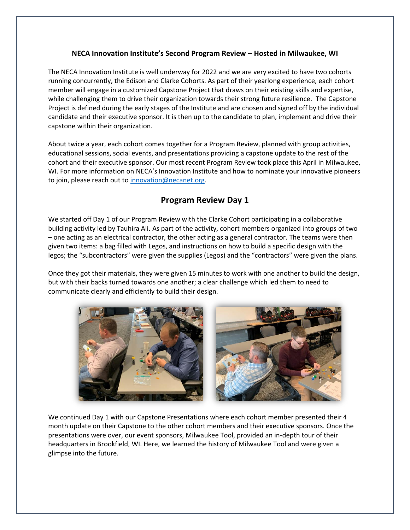#### **NECA Innovation Institute's Second Program Review – Hosted in Milwaukee, WI**

The NECA Innovation Institute is well underway for 2022 and we are very excited to have two cohorts running concurrently, the Edison and Clarke Cohorts. As part of their yearlong experience, each cohort member will engage in a customized Capstone Project that draws on their existing skills and expertise, while challenging them to drive their organization towards their strong future resilience. The Capstone Project is defined during the early stages of the Institute and are chosen and signed off by the individual candidate and their executive sponsor. It is then up to the candidate to plan, implement and drive their capstone within their organization.

About twice a year, each cohort comes together for a Program Review, planned with group activities, educational sessions, social events, and presentations providing a capstone update to the rest of the cohort and their executive sponsor. Our most recent Program Review took place this April in Milwaukee, WI. For more information on NECA's Innovation Institute and how to nominate your innovative pioneers to join, please reach out t[o innovation@necanet.org.](mailto:innovation@necanet.org)

# **Program Review Day 1**

We started off Day 1 of our Program Review with the Clarke Cohort participating in a collaborative building activity led by Tauhira Ali. As part of the activity, cohort members organized into groups of two – one acting as an electrical contractor, the other acting as a general contractor. The teams were then given two items: a bag filled with Legos, and instructions on how to build a specific design with the legos; the "subcontractors" were given the supplies (Legos) and the "contractors" were given the plans.

Once they got their materials, they were given 15 minutes to work with one another to build the design, but with their backs turned towards one another; a clear challenge which led them to need to communicate clearly and efficiently to build their design.



We continued Day 1 with our Capstone Presentations where each cohort member presented their 4 month update on their Capstone to the other cohort members and their executive sponsors. Once the presentations were over, our event sponsors, Milwaukee Tool, provided an in-depth tour of their headquarters in Brookfield, WI. Here, we learned the history of Milwaukee Tool and were given a glimpse into the future.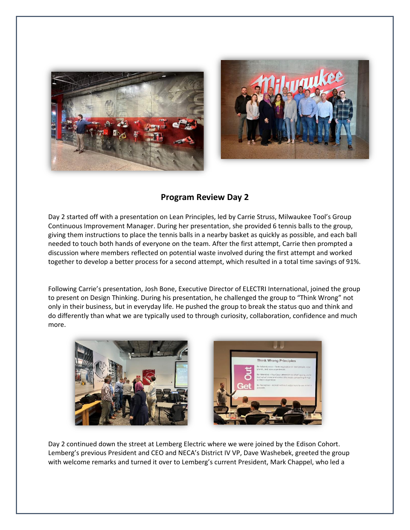



### **Program Review Day 2**

Day 2 started off with a presentation on Lean Principles, led by Carrie Struss, Milwaukee Tool's Group Continuous Improvement Manager. During her presentation, she provided 6 tennis balls to the group, giving them instructions to place the tennis balls in a nearby basket as quickly as possible, and each ball needed to touch both hands of everyone on the team. After the first attempt, Carrie then prompted a discussion where members reflected on potential waste involved during the first attempt and worked together to develop a better process for a second attempt, which resulted in a total time savings of 91%.

Following Carrie's presentation, Josh Bone, Executive Director of ELECTRI International, joined the group to present on Design Thinking. During his presentation, he challenged the group to "Think Wrong" not only in their business, but in everyday life. He pushed the group to break the status quo and think and do differently than what we are typically used to through curiosity, collaboration, confidence and much more.



Day 2 continued down the street at Lemberg Electric where we were joined by the Edison Cohort. Lemberg's previous President and CEO and NECA's District IV VP, Dave Washebek, greeted the group with welcome remarks and turned it over to Lemberg's current President, Mark Chappel, who led a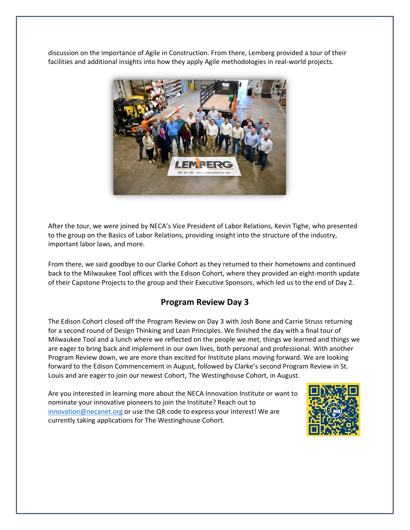discussion on the importance of Agile in Construction. From there, Lemberg provided a tour of their facilities and additional insights into how they apply Agile methodologies in real-world projects.



After the tour, we were joined by NECA's Vice President of Labor Relations, Kevin Tighe, who presented to the group on the Basics of Labor Relations, providing insight into the structure of the industry, important labor laws, and more.

From there, we said goodbye to our Clarke Cohort as they returned to their hometowns and continued back to the Milwaukee Tool offices with the Edison Cohort, where they provided an eight-month update of their Capstone Projects to the group and their Executive Sponsors, which led us to the end of Day 2.

### **Program Review Day 3**

The Edison Cohort closed off the Program Review on Day 3 with Josh Bone and Carrie Struss returning for a second round of Design Thinking and Lean Principles. We finished the day with a final tour of Milwaukee Tool and a lunch where we reflected on the people we met, things we learned and things we are eager to bring back and implement in our own lives, both personal and professional. With another Program Review down, we are more than excited for Institute plans moving forward. We are looking forward to the Edison Commencement in August, followed by Clarke's second Program Review in St. Louis and are eager to join our newest Cohort, The Westinghouse Cohort, in August.

Are you interested in learning more about the NECA Innovation Institute or want to nominate your innovative pioneers to join the Institute? Reach out to [innovation@necanet.org](mailto:innovation@necanet.org) or use the QR code to express your interest! We are currently taking applications for The Westinghouse Cohort.